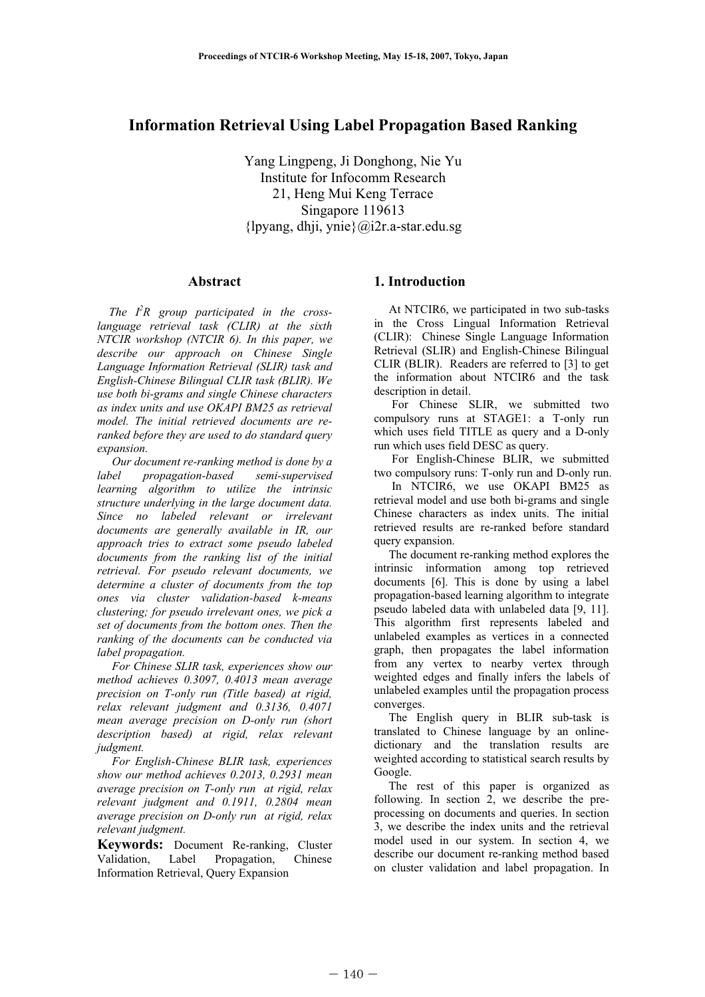# **Information Retrieval Using Label Propagation Based Ranking**

Yang Lingpeng, Ji Donghong, Nie Yu Institute for Infocomm Research 21, Heng Mui Keng Terrace Singapore 119613 {lpyang, dhji, ynie}@i2r.a-star.edu.sg

### **Abstract**

*The I2 R group participated in the crosslanguage retrieval task (CLIR) at the sixth NTCIR workshop (NTCIR 6). In this paper, we describe our approach on Chinese Single Language Information Retrieval (SLIR) task and English-Chinese Bilingual CLIR task (BLIR). We use both bi-grams and single Chinese characters as index units and use OKAPI BM25 as retrieval model. The initial retrieved documents are reranked before they are used to do standard query expansion.* 

 *Our document re-ranking method is done by a label propagation-based semi-supervised learning algorithm to utilize the intrinsic structure underlying in the large document data. Since no labeled relevant or irrelevant documents are generally available in IR, our approach tries to extract some pseudo labeled documents from the ranking list of the initial retrieval. For pseudo relevant documents, we determine a cluster of documents from the top ones via cluster validation-based k-means clustering; for pseudo irrelevant ones, we pick a set of documents from the bottom ones. Then the ranking of the documents can be conducted via label propagation.* 

 *For Chinese SLIR task, experiences show our method achieves 0.3097, 0.4013 mean average precision on T-only run (Title based) at rigid, relax relevant judgment and 0.3136, 0.4071 mean average precision on D-only run (short description based) at rigid, relax relevant judgment.* 

 *For English-Chinese BLIR task, experiences show our method achieves 0.2013, 0.2931 mean average precision on T-only run at rigid, relax relevant judgment and 0.1911, 0.2804 mean average precision on D-only run at rigid, relax relevant judgment.* 

**Keywords:** Document Re-ranking, Cluster Validation, Label Propagation, Chinese Information Retrieval, Query Expansion

## **1. Introduction**

 At NTCIR6, we participated in two sub-tasks in the Cross Lingual Information Retrieval (CLIR): Chinese Single Language Information Retrieval (SLIR) and English-Chinese Bilingual CLIR (BLIR). Readers are referred to [3] to get the information about NTCIR6 and the task description in detail.

 For Chinese SLIR, we submitted two compulsory runs at STAGE1: a T-only run which uses field TITLE as query and a D-only run which uses field DESC as query.

 For English-Chinese BLIR, we submitted two compulsory runs: T-only run and D-only run.

In NTCIR6, we use OKAPI BM25 as retrieval model and use both bi-grams and single Chinese characters as index units. The initial retrieved results are re-ranked before standard query expansion.

 The document re-ranking method explores the intrinsic information among top retrieved documents [6]. This is done by using a label propagation-based learning algorithm to integrate pseudo labeled data with unlabeled data [9, 11]. This algorithm first represents labeled and unlabeled examples as vertices in a connected graph, then propagates the label information from any vertex to nearby vertex through weighted edges and finally infers the labels of unlabeled examples until the propagation process converges.

 The English query in BLIR sub-task is translated to Chinese language by an onlinedictionary and the translation results are weighted according to statistical search results by Google.

 The rest of this paper is organized as following. In section 2, we describe the preprocessing on documents and queries. In section 3, we describe the index units and the retrieval model used in our system. In section 4, we describe our document re-ranking method based on cluster validation and label propagation. In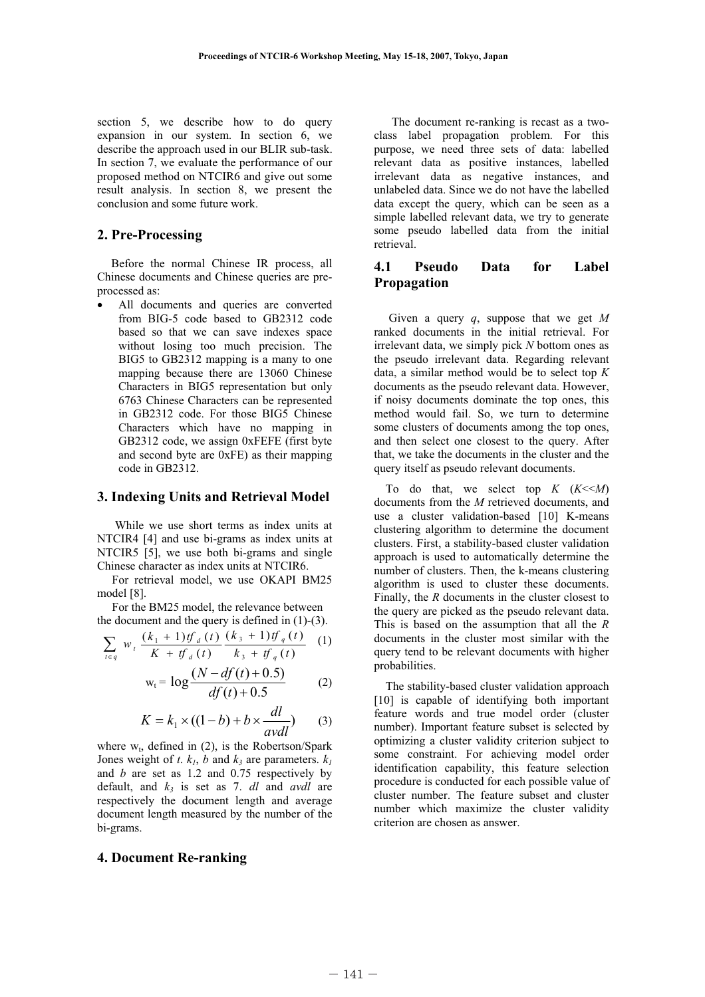section 5, we describe how to do query expansion in our system. In section 6, we describe the approach used in our BLIR sub-task. In section 7, we evaluate the performance of our proposed method on NTCIR6 and give out some result analysis. In section 8, we present the conclusion and some future work.

## **2. Pre-Processing**

Before the normal Chinese IR process, all Chinese documents and Chinese queries are preprocessed as:

All documents and queries are converted from BIG-5 code based to GB2312 code based so that we can save indexes space without losing too much precision. The BIG5 to GB2312 mapping is a many to one mapping because there are 13060 Chinese Characters in BIG5 representation but only 6763 Chinese Characters can be represented in GB2312 code. For those BIG5 Chinese Characters which have no mapping in GB2312 code, we assign 0xFEFE (first byte and second byte are 0xFE) as their mapping code in GB2312.

#### **3. Indexing Units and Retrieval Model**

While we use short terms as index units at NTCIR4 [4] and use bi-grams as index units at NTCIR5 [5], we use both bi-grams and single Chinese character as index units at NTCIR6.

 For retrieval model, we use OKAPI BM25 model [8].

 For the BM25 model, the relevance between the document and the query is defined in (1)-(3).

$$
\sum_{t \in q} w_t \frac{(k_1 + 1) t f_d(t)}{K + t f_d(t)} \frac{(k_3 + 1) t f_q(t)}{k_3 + t f_q(t)}
$$
 (1)

$$
w_t = \log \frac{(N - df(t) + 0.5)}{df(t) + 0.5}
$$
 (2)

$$
K = k_1 \times ((1 - b) + b \times \frac{dl}{avdl})
$$
 (3)

where  $w_t$ , defined in (2), is the Robertson/Spark Jones weight of *t*.  $k_l$ , *b* and  $k_3$  are parameters.  $k_l$ and *b* are set as 1.2 and 0.75 respectively by default, and  $k_3$  is set as 7. *dl* and *avdl* are respectively the document length and average document length measured by the number of the bi-grams.

#### **4. Document Re-ranking**

 The document re-ranking is recast as a twoclass label propagation problem. For this purpose, we need three sets of data: labelled relevant data as positive instances, labelled irrelevant data as negative instances, and unlabeled data. Since we do not have the labelled data except the query, which can be seen as a simple labelled relevant data, we try to generate some pseudo labelled data from the initial retrieval.

## **4.1 Pseudo Data for Label Propagation**

 Given a query *q*, suppose that we get *M* ranked documents in the initial retrieval. For irrelevant data, we simply pick *N* bottom ones as the pseudo irrelevant data. Regarding relevant data, a similar method would be to select top *K* documents as the pseudo relevant data. However, if noisy documents dominate the top ones, this method would fail. So, we turn to determine some clusters of documents among the top ones, and then select one closest to the query. After that, we take the documents in the cluster and the query itself as pseudo relevant documents.

To do that, we select top  $K$   $(K<$ documents from the *M* retrieved documents, and use a cluster validation-based [10] K-means clustering algorithm to determine the document clusters. First, a stability-based cluster validation approach is used to automatically determine the number of clusters. Then, the k-means clustering algorithm is used to cluster these documents. Finally, the *R* documents in the cluster closest to the query are picked as the pseudo relevant data. This is based on the assumption that all the *R* documents in the cluster most similar with the query tend to be relevant documents with higher probabilities.

The stability-based cluster validation approach [10] is capable of identifying both important feature words and true model order (cluster number). Important feature subset is selected by optimizing a cluster validity criterion subject to some constraint. For achieving model order identification capability, this feature selection procedure is conducted for each possible value of cluster number. The feature subset and cluster number which maximize the cluster validity criterion are chosen as answer.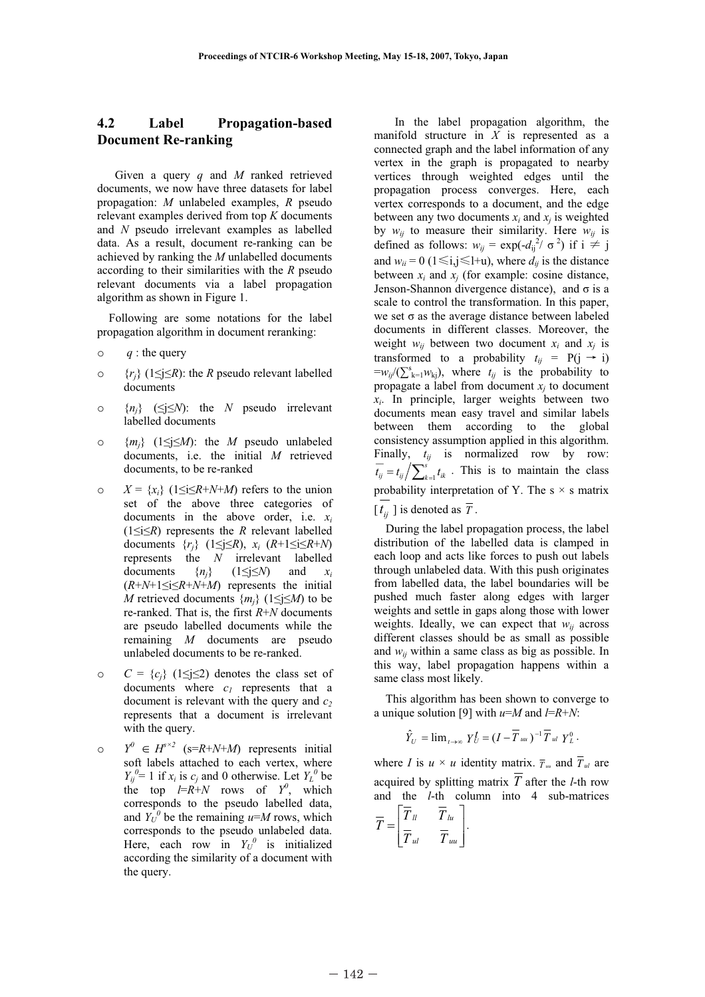## **4.2 Label Propagation-based Document Re-ranking**

Given a query *q* and *M* ranked retrieved documents, we now have three datasets for label propagation: *M* unlabeled examples, *R* pseudo relevant examples derived from top *K* documents and *N* pseudo irrelevant examples as labelled data. As a result, document re-ranking can be achieved by ranking the *M* unlabelled documents according to their similarities with the *R* pseudo relevant documents via a label propagation algorithm as shown in Figure 1.

Following are some notations for the label propagation algorithm in document reranking:

- o *q* : the query
- $\circ$  {*r<sub>i</sub>*} (1\lequarright): the *R* pseudo relevant labelled documents
- $\circ$  {*n<sub>i</sub>*} ( $\leq j \leq N$ ): the *N* pseudo irrelevant labelled documents
- $\circ$  { $m_i$ } (1\intimum /2): the *M* pseudo unlabeled documents, i.e. the initial *M* retrieved documents, to be re-ranked
- $X = \{x_i\}$  (1\le i\frac{iR+*N*+*M*) refers to the union set of the above three categories of documents in the above order, i.e. *xi*  $(1 \le i \le R)$  represents the *R* relevant labelled documents  $\{r_i\}$  (1 $\leq i \leq R$ ),  $x_i$  ( $R+1 \leq i \leq R+N$ ) represents the *N* irrelevant labelled documents  $\{n_i\}$   $(1 \leq j \leq N)$  and  $x_i$  $(R+N+1\leq i\leq R+N+M)$  represents the initial *M* retrieved documents  $\{m_i\}$  (1 $\leq j \leq M$ ) to be re-ranked. That is, the first *R*+*N* documents are pseudo labelled documents while the remaining *M* documents are pseudo unlabeled documents to be re-ranked.
- $C = {c_i} (1 \le i \le 2)$  denotes the class set of documents where  $c_1$  represents that a document is relevant with the query and  $c_2$ represents that a document is irrelevant with the query.
- $\circ$   $Y^0 \in H^{s \times 2}$  (s=R+N+M) represents initial soft labels attached to each vertex, where  $Y_{ij}^0$  = 1 if  $x_i$  is  $c_j$  and 0 otherwise. Let  $Y_L^0$  be the top  $l=R+N$  rows of  $Y^0$ , which corresponds to the pseudo labelled data, and  $Y_U^0$  be the remaining  $u=M$  rows, which corresponds to the pseudo unlabeled data. Here, each row in  $Y_U^0$  is initialized according the similarity of a document with the query.

In the label propagation algorithm, the manifold structure in *X* is represented as a connected graph and the label information of any vertex in the graph is propagated to nearby vertices through weighted edges until the propagation process converges. Here, each vertex corresponds to a document, and the edge between any two documents  $x_i$  and  $x_j$  is weighted by  $w_{ij}$  to measure their similarity. Here  $w_{ij}$  is defined as follows:  $w_{ij} = \exp(-d_{ij}^2 / \sigma^2)$  if  $i \neq j$ and  $w_{ii} = 0$  ( $1 \le i, j \le l+u$ ), where  $d_{ii}$  is the distance between  $x_i$  and  $x_j$  (for example: cosine distance, Jenson-Shannon divergence distance), and  $\sigma$  is a scale to control the transformation. In this paper, we set  $\sigma$  as the average distance between labeled documents in different classes. Moreover, the weight  $w_{ij}$  between two document  $x_i$  and  $x_j$  is transformed to a probability  $t_{ii}$  = P(j  $\rightarrow$  i)  $=w_{ij}/(\sum_{k=1}^{s}w_{kj})$ , where  $t_{ij}$  is the probability to propagate a label from document  $x_i$  to document *xi*. In principle, larger weights between two documents mean easy travel and similar labels between them according to the global consistency assumption applied in this algorithm. Finally,  $t_{ij}$  is normalized row by row:  $\overline{t_{ij}} = t_{ij} / \sum_{k=1}^{s} t_{ik}$ . This is to maintain the class probability interpretation of Y. The s  $\times$  s matrix  $[t_{ij}]$  is denoted as  $\overline{T}$ .

During the label propagation process, the label distribution of the labelled data is clamped in each loop and acts like forces to push out labels through unlabeled data. With this push originates from labelled data, the label boundaries will be pushed much faster along edges with larger weights and settle in gaps along those with lower weights. Ideally, we can expect that  $w_{ii}$  across different classes should be as small as possible and  $w_{ii}$  within a same class as big as possible. In this way, label propagation happens within a same class most likely.

This algorithm has been shown to converge to a unique solution [9] with *u*=*M* and *l*=*R*+*N*:

$$
\hat{Y}_U = \lim_{t \to \infty} Y_U^t = (I - \overline{T}_{uu})^{-1} \overline{T}_{ul} Y_L^0.
$$

where *I* is  $u \times u$  identity matrix.  $\overline{T}_u$  and  $\overline{T}_u$  are acquired by splitting matrix *T* after the *l*-th row and the *l*-th column into 4 sub-matrices

$$
\overline{T} = \begin{bmatrix} \overline{T}_u & \overline{T}_{lu} \\ \overline{T}_{ul} & \overline{T}_{uu} \end{bmatrix}.
$$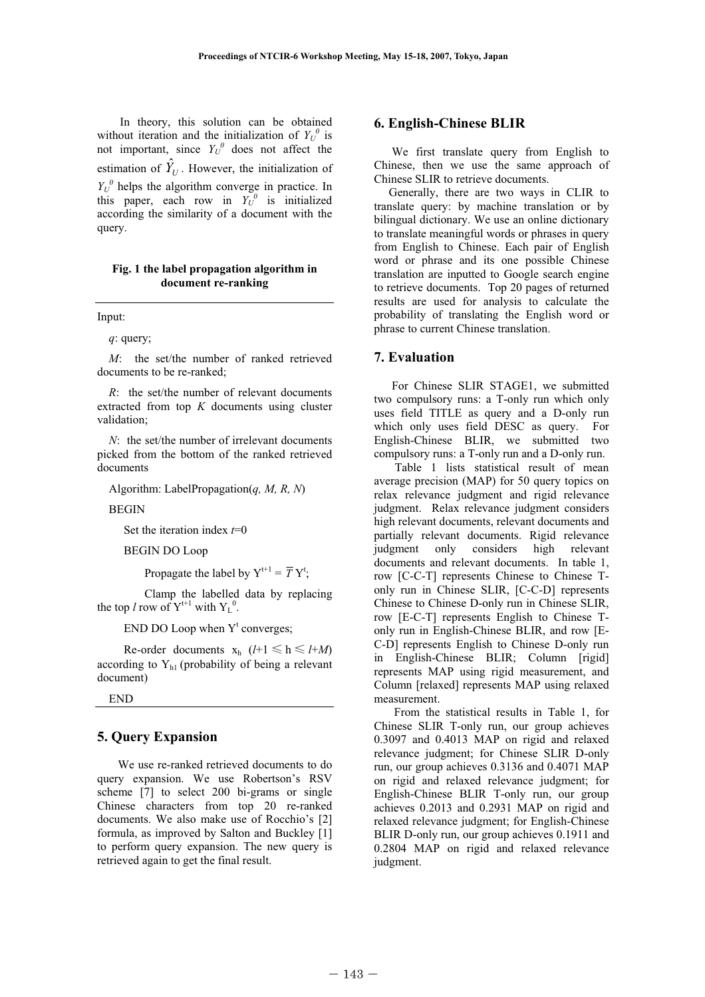In theory, this solution can be obtained without iteration and the initialization of  $Y_U^0$  is not important, since  $Y_U^0$  does not affect the estimation of  $\hat{Y}_U$ . However, the initialization of  $Y_U^0$  helps the algorithm converge in practice. In this paper, each row in  $Y_U^0$  is initialized according the similarity of a document with the query.

#### **Fig. 1 the label propagation algorithm in document re-ranking**

Input:

#### *q*: query;

*M*: the set/the number of ranked retrieved documents to be re-ranked;

*R*: the set/the number of relevant documents extracted from top *K* documents using cluster validation;

*N*: the set/the number of irrelevant documents picked from the bottom of the ranked retrieved documents

Algorithm: LabelPropagation(*q, M, R, N*)

BEGIN

Set the iteration index *t*=0

BEGIN DO Loop

Propagate the label by  $Y^{t+1} = \overline{T} Y^t$ ;

 Clamp the labelled data by replacing the top *l* row of  $Y^{t+1}$  with  $Y_L^0$ .

END DO Loop when  $Y<sup>t</sup>$  converges;

Re-order documents  $x_h$  ( $l+1 \leq h \leq l+M$ ) according to  $Y_{h1}$  (probability of being a relevant document)

END

#### **5. Query Expansion**

We use re-ranked retrieved documents to do query expansion. We use Robertson's RSV scheme [7] to select 200 bi-grams or single Chinese characters from top 20 re-ranked documents. We also make use of Rocchio's [2] formula, as improved by Salton and Buckley [1] to perform query expansion. The new query is retrieved again to get the final result.

### **6. English-Chinese BLIR**

We first translate query from English to Chinese, then we use the same approach of Chinese SLIR to retrieve documents.

Generally, there are two ways in CLIR to translate query: by machine translation or by bilingual dictionary. We use an online dictionary to translate meaningful words or phrases in query from English to Chinese. Each pair of English word or phrase and its one possible Chinese translation are inputted to Google search engine to retrieve documents. Top 20 pages of returned results are used for analysis to calculate the probability of translating the English word or phrase to current Chinese translation.

## **7. Evaluation**

 For Chinese SLIR STAGE1, we submitted two compulsory runs: a T-only run which only uses field TITLE as query and a D-only run which only uses field DESC as query. For English-Chinese BLIR, we submitted two compulsory runs: a T-only run and a D-only run.

Table 1 lists statistical result of mean average precision (MAP) for 50 query topics on relax relevance judgment and rigid relevance judgment. Relax relevance judgment considers high relevant documents, relevant documents and partially relevant documents. Rigid relevance judgment only considers high relevant documents and relevant documents. In table 1, row [C-C-T] represents Chinese to Chinese Tonly run in Chinese SLIR, [C-C-D] represents Chinese to Chinese D-only run in Chinese SLIR, row [E-C-T] represents English to Chinese Tonly run in English-Chinese BLIR, and row [E-C-D] represents English to Chinese D-only run in English-Chinese BLIR; Column [rigid] represents MAP using rigid measurement, and Column [relaxed] represents MAP using relaxed measurement.

From the statistical results in Table 1, for Chinese SLIR T-only run, our group achieves 0.3097 and 0.4013 MAP on rigid and relaxed relevance judgment; for Chinese SLIR D-only run, our group achieves 0.3136 and 0.4071 MAP on rigid and relaxed relevance judgment; for English-Chinese BLIR T-only run, our group achieves 0.2013 and 0.2931 MAP on rigid and relaxed relevance judgment; for English-Chinese BLIR D-only run, our group achieves 0.1911 and 0.2804 MAP on rigid and relaxed relevance judgment.